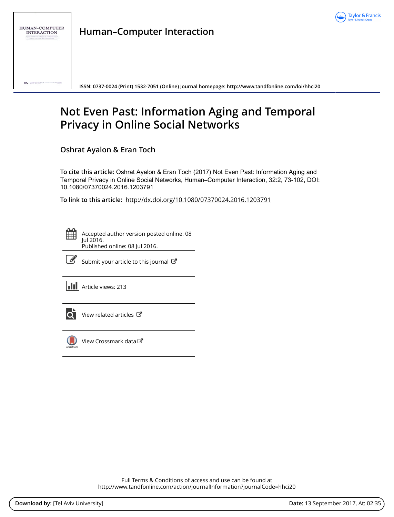

**Human–Computer Interaction**

**ISSN: 0737-0024 (Print) 1532-7051 (Online) Journal homepage:<http://www.tandfonline.com/loi/hhci20>**

# **Not Even Past: Information Aging and Temporal Privacy in Online Social Networks**

**Oshrat Ayalon & Eran Toch**

**To cite this article:** Oshrat Ayalon & Eran Toch (2017) Not Even Past: Information Aging and Temporal Privacy in Online Social Networks, Human–Computer Interaction, 32:2, 73-102, DOI: [10.1080/07370024.2016.1203791](http://www.tandfonline.com/action/showCitFormats?doi=10.1080/07370024.2016.1203791)

**To link to this article:** <http://dx.doi.org/10.1080/07370024.2016.1203791>

Accepted author version posted online: 08 Jul 2016. Published online: 08 Jul 2016.



 $\mathbb{Z}$  [Submit your article to this journal](http://www.tandfonline.com/action/authorSubmission?journalCode=hhci20&show=instructions)  $\mathbb{Z}$ 

**III** Article views: 213



[View related articles](http://www.tandfonline.com/doi/mlt/10.1080/07370024.2016.1203791)  $\mathbb{Z}$ 



 $\bigcirc$  [View Crossmark data](http://crossmark.crossref.org/dialog/?doi=10.1080/07370024.2016.1203791&domain=pdf&date_stamp=2016-07-08) $\mathbb{Z}$ 

Full Terms & Conditions of access and use can be found at <http://www.tandfonline.com/action/journalInformation?journalCode=hhci20>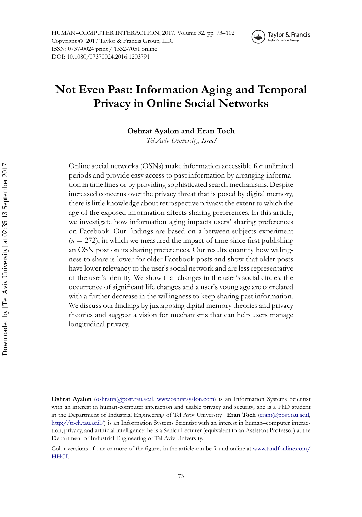

## **Not Even Past: Information Aging and Temporal Privacy in Online Social Networks**

**Oshrat Ayalon and Eran Toch**

*Tel Aviv University, Israel*

Online social networks (OSNs) make information accessible for unlimited periods and provide easy access to past information by arranging information in time lines or by providing sophisticated search mechanisms. Despite increased concerns over the privacy threat that is posed by digital memory, there is little knowledge about retrospective privacy: the extent to which the age of the exposed information affects sharing preferences. In this article, we investigate how information aging impacts users' sharing preferences on Facebook. Our findings are based on a between-subjects experiment  $(n = 272)$ , in which we measured the impact of time since first publishing an OSN post on its sharing preferences. Our results quantify how willingness to share is lower for older Facebook posts and show that older posts have lower relevancy to the user's social network and are less representative of the user's identity. We show that changes in the user's social circles, the occurrence of significant life changes and a user's young age are correlated with a further decrease in the willingness to keep sharing past information. We discuss our findings by juxtaposing digital memory theories and privacy theories and suggest a vision for mechanisms that can help users manage longitudinal privacy.

**Oshrat Ayalon** (oshratra@post.tau.ac.il, www.oshratayalon.com) is an Information Systems Scientist with an interest in human-computer interaction and usable privacy and security; she is a PhD student in the Department of Industrial Engineering of Tel Aviv University. **Eran Toch** (erant@post.tau.ac.il, http://toch.tau.ac.il/) is an Information Systems Scientist with an interest in human–computer interaction, privacy, and artificial intelligence; he is a Senior Lecturer (equivalent to an Assistant Professor) at the Department of Industrial Engineering of Tel Aviv University.

Color versions of one or more of the figures in the article can be found online at www.tandfonline.com/ HHCI.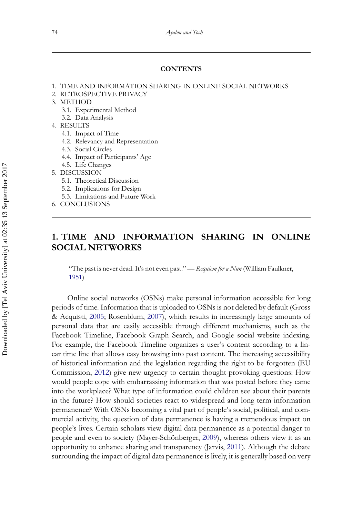#### **CONTENTS**

- 1. TIME AND INFORMATION SHARING IN ONLINE SOCIAL NETWORKS
- 2. RETROSPECTIVE PRIVACY
- 3. METHOD
	- 3.1. Experimental Method
	- 3.2. Data Analysis
- 4. RESULTS
	- 4.1. Impact of Time
	- 4.2. Relevancy and Representation
	- 4.3. Social Circles
	- 4.4. Impact of Participants' Age
	- 4.5. Life Changes
- 5. DISCUSSION
	- 5.1. Theoretical Discussion
	- 5.2. Implications for Design
	- 5.3. Limitations and Future Work
- 6. CONCLUSIONS

## **1. TIME AND INFORMATION SHARING IN ONLINE SOCIAL NETWORKS**

"The past is never dead. It's not even past." — *Requiem for a Nun* (William Faulkner, [1951\)](#page-24-0)

Online social networks (OSNs) make personal information accessible for long periods of time. Information that is uploaded to OSNs is not deleted by default (Gross & Acquisti, [2005;](#page-24-1) Rosenblum, [2007\)](#page-25-0), which results in increasingly large amounts of personal data that are easily accessible through different mechanisms, such as the Facebook Timeline, Facebook Graph Search, and Google social website indexing. For example, the Facebook Timeline organizes a user's content according to a linear time line that allows easy browsing into past content. The increasing accessibility of historical information and the legislation regarding the right to be forgotten (EU Commission, [2012\)](#page-24-2) give new urgency to certain thought-provoking questions: How would people cope with embarrassing information that was posted before they came into the workplace? What type of information could children see about their parents in the future? How should societies react to widespread and long-term information permanence? With OSNs becoming a vital part of people's social, political, and commercial activity, the question of data permanence is having a tremendous impact on people's lives. Certain scholars view digital data permanence as a potential danger to people and even to society (Mayer-Schönberger, [2009\)](#page-25-1), whereas others view it as an opportunity to enhance sharing and transparency (Jarvis, [2011\)](#page-25-2). Although the debate surrounding the impact of digital data permanence is lively, it is generally based on very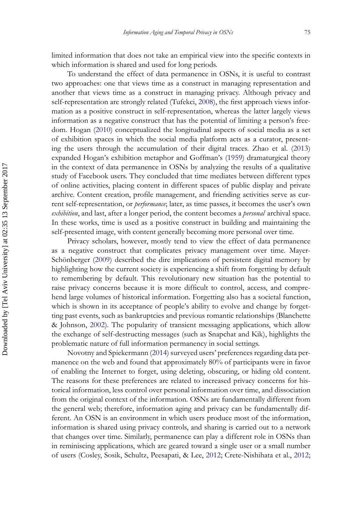limited information that does not take an empirical view into the specific contexts in which information is shared and used for long periods.

To understand the effect of data permanence in OSNs, it is useful to contrast two approaches: one that views time as a construct in managing representation and another that views time as a construct in managing privacy. Although privacy and self-representation are strongly related (Tufekci, [2008\)](#page-26-0), the first approach views information as a positive construct in self-representation, whereas the latter largely views information as a negative construct that has the potential of limiting a person's freedom. Hogan [\(2010\)](#page-24-3) conceptualized the longitudinal aspects of social media as a set of exhibition spaces in which the social media platform acts as a curator, presenting the users through the accumulation of their digital traces. Zhao et al. [\(2013\)](#page-26-1) expanded Hogan's exhibition metaphor and Goffman's [\(1959\)](#page-24-4) dramaturgical theory in the context of data permanence in OSNs by analyzing the results of a qualitative study of Facebook users. They concluded that time mediates between different types of online activities, placing content in different spaces of public display and private archive. Content creation, profile management, and friending activities serve as current self-representation, or *performance*; later, as time passes, it becomes the user's own *exhibition*, and last, after a longer period, the content becomes a *personal* archival space. In these works, time is used as a positive construct in building and maintaining the self-presented image, with content generally becoming more personal over time.

Privacy scholars, however, mostly tend to view the effect of data permanence as a negative construct that complicates privacy management over time. Mayer-Schönberger [\(2009\)](#page-25-1) described the dire implications of persistent digital memory by highlighting how the current society is experiencing a shift from forgetting by default to remembering by default. This revolutionary new situation has the potential to raise privacy concerns because it is more difficult to control, access, and comprehend large volumes of historical information. Forgetting also has a societal function, which is shown in its acceptance of people's ability to evolve and change by forgetting past events, such as bankruptcies and previous romantic relationships (Blanchette & Johnson, [2002\)](#page-24-5). The popularity of transient messaging applications, which allow the exchange of self-destructing messages (such as Snapchat and Kik), highlights the problematic nature of full information permanency in social settings.

Novotny and Spiekermann [\(2014\)](#page-25-3) surveyed users' preferences regarding data permanence on the web and found that approximately 80% of participants were in favor of enabling the Internet to forget, using deleting, obscuring, or hiding old content. The reasons for these preferences are related to increased privacy concerns for historical information, less control over personal information over time, and dissociation from the original context of the information. OSNs are fundamentally different from the general web; therefore, information aging and privacy can be fundamentally different. An OSN is an environment in which users produce most of the information, information is shared using privacy controls, and sharing is carried out to a network that changes over time. Similarly, permanence can play a different role in OSNs than in reminiscing applications, which are geared toward a single user or a small number of users (Cosley, Sosik, Schultz, Peesapati, & Lee, [2012;](#page-24-6) Crete-Nishihata et al., [2012;](#page-24-7)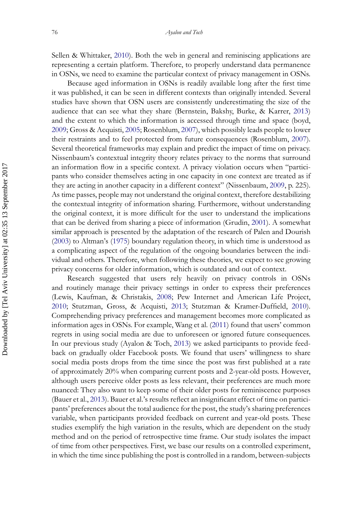Sellen & Whittaker, [2010\)](#page-25-4). Both the web in general and reminiscing applications are representing a certain platform. Therefore, to properly understand data permanence in OSNs, we need to examine the particular context of privacy management in OSNs.

Because aged information in OSNs is readily available long after the first time it was published, it can be seen in different contexts than originally intended. Several studies have shown that OSN users are consistently underestimating the size of the audience that can see what they share (Bernstein, Bakshy, Burke, & Karrer, [2013\)](#page-23-0) and the extent to which the information is accessed through time and space (boyd, [2009;](#page-24-8) Gross & Acquisti, [2005;](#page-24-1) Rosenblum, [2007\)](#page-25-0), which possibly leads people to lower their restraints and to feel protected from future consequences (Rosenblum, [2007\)](#page-25-0). Several theoretical frameworks may explain and predict the impact of time on privacy. Nissenbaum's contextual integrity theory relates privacy to the norms that surround an information flow in a specific context. A privacy violation occurs when "participants who consider themselves acting in one capacity in one context are treated as if they are acting in another capacity in a different context" (Nissenbaum, [2009,](#page-25-5) p. 225). As time passes, people may not understand the original context, therefore destabilizing the contextual integrity of information sharing. Furthermore, without understanding the original context, it is more difficult for the user to understand the implications that can be derived from sharing a piece of information (Grudin, [2001\)](#page-24-9). A somewhat similar approach is presented by the adaptation of the research of Palen and Dourish [\(2003\)](#page-25-6) to Altman's [\(1975\)](#page-23-1) boundary regulation theory, in which time is understood as a complicating aspect of the regulation of the ongoing boundaries between the individual and others. Therefore, when following these theories, we expect to see growing privacy concerns for older information, which is outdated and out of context.

Research suggested that users rely heavily on privacy controls in OSNs and routinely manage their privacy settings in order to express their preferences (Lewis, Kaufman, & Christakis, [2008;](#page-25-7) Pew Internet and American Life Project, [2010;](#page-25-8) Stutzman, Gross, & Acquisti, [2013;](#page-25-9) Stutzman & Kramer-Duffield, [2010\)](#page-25-10). Comprehending privacy preferences and management becomes more complicated as information ages in OSNs. For example, Wang et al. [\(2011\)](#page-26-2) found that users' common regrets in using social media are due to unforeseen or ignored future consequences. In our previous study (Ayalon & Toch, [2013\)](#page-23-2) we asked participants to provide feedback on gradually older Facebook posts. We found that users' willingness to share social media posts drops from the time since the post was first published at a rate of approximately 20% when comparing current posts and 2-year-old posts. However, although users perceive older posts as less relevant, their preferences are much more nuanced: They also want to keep some of their older posts for reminiscence purposes (Bauer et al., [2013\)](#page-23-3). Bauer et al.'s results reflect an insignificant effect of time on participants' preferences about the total audience for the post, the study's sharing preferences variable, when participants provided feedback on current and year-old posts. These studies exemplify the high variation in the results, which are dependent on the study method and on the period of retrospective time frame. Our study isolates the impact of time from other perspectives. First, we base our results on a controlled experiment, in which the time since publishing the post is controlled in a random, between-subjects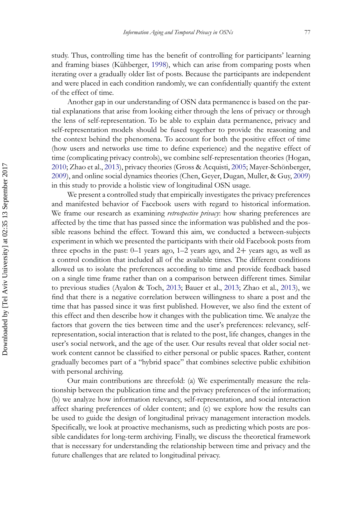study. Thus, controlling time has the benefit of controlling for participants' learning and framing biases (Kühberger, [1998\)](#page-25-11), which can arise from comparing posts when iterating over a gradually older list of posts. Because the participants are independent and were placed in each condition randomly, we can confidentially quantify the extent of the effect of time.

Another gap in our understanding of OSN data permanence is based on the partial explanations that arise from looking either through the lens of privacy or through the lens of self-representation. To be able to explain data permanence, privacy and self-representation models should be fused together to provide the reasoning and the context behind the phenomena. To account for both the positive effect of time (how users and networks use time to define experience) and the negative effect of time (complicating privacy controls), we combine self-representation theories (Hogan, [2010;](#page-24-3) Zhao et al., [2013\)](#page-26-1), privacy theories (Gross & Acquisti, [2005;](#page-24-1) Mayer-Schönberger, [2009\)](#page-25-1), and online social dynamics theories (Chen, Geyer, Dugan, Muller, & Guy, [2009\)](#page-24-10) in this study to provide a holistic view of longitudinal OSN usage.

We present a controlled study that empirically investigates the privacy preferences and manifested behavior of Facebook users with regard to historical information. We frame our research as examining *retrospective privacy*: how sharing preferences are affected by the time that has passed since the information was published and the possible reasons behind the effect. Toward this aim, we conducted a between-subjects experiment in which we presented the participants with their old Facebook posts from three epochs in the past:  $0-1$  years ago,  $1-2$  years ago, and  $2+$  years ago, as well as a control condition that included all of the available times. The different conditions allowed us to isolate the preferences according to time and provide feedback based on a single time frame rather than on a comparison between different times. Similar to previous studies (Ayalon & Toch, [2013;](#page-23-2) Bauer et al., [2013;](#page-23-3) Zhao et al., [2013\)](#page-26-1), we find that there is a negative correlation between willingness to share a post and the time that has passed since it was first published. However, we also find the extent of this effect and then describe how it changes with the publication time. We analyze the factors that govern the ties between time and the user's preferences: relevancy, selfrepresentation, social interaction that is related to the post, life changes, changes in the user's social network, and the age of the user. Our results reveal that older social network content cannot be classified to either personal or public spaces. Rather, content gradually becomes part of a "hybrid space" that combines selective public exhibition with personal archiving.

Our main contributions are threefold: (a) We experimentally measure the relationship between the publication time and the privacy preferences of the information; (b) we analyze how information relevancy, self-representation, and social interaction affect sharing preferences of older content; and (c) we explore how the results can be used to guide the design of longitudinal privacy management interaction models. Specifically, we look at proactive mechanisms, such as predicting which posts are possible candidates for long-term archiving. Finally, we discuss the theoretical framework that is necessary for understanding the relationship between time and privacy and the future challenges that are related to longitudinal privacy.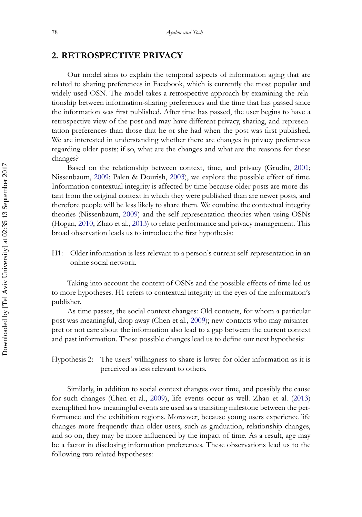## **2. RETROSPECTIVE PRIVACY**

Our model aims to explain the temporal aspects of information aging that are related to sharing preferences in Facebook, which is currently the most popular and widely used OSN. The model takes a retrospective approach by examining the relationship between information-sharing preferences and the time that has passed since the information was first published. After time has passed, the user begins to have a retrospective view of the post and may have different privacy, sharing, and representation preferences than those that he or she had when the post was first published. We are interested in understanding whether there are changes in privacy preferences regarding older posts; if so, what are the changes and what are the reasons for these changes?

Based on the relationship between context, time, and privacy (Grudin, [2001;](#page-24-9) Nissenbaum, [2009;](#page-25-5) Palen & Dourish, [2003\)](#page-25-6), we explore the possible effect of time. Information contextual integrity is affected by time because older posts are more distant from the original context in which they were published than are newer posts, and therefore people will be less likely to share them. We combine the contextual integrity theories (Nissenbaum, [2009\)](#page-25-5) and the self-representation theories when using OSNs (Hogan, [2010;](#page-24-3) Zhao et al., [2013\)](#page-26-1) to relate performance and privacy management. This broad observation leads us to introduce the first hypothesis:

H1: Older information is less relevant to a person's current self-representation in an online social network.

Taking into account the context of OSNs and the possible effects of time led us to more hypotheses. H1 refers to contextual integrity in the eyes of the information's publisher.

As time passes, the social context changes: Old contacts, for whom a particular post was meaningful, drop away (Chen et al., [2009\)](#page-24-10); new contacts who may misinterpret or not care about the information also lead to a gap between the current context and past information. These possible changes lead us to define our next hypothesis:

## Hypothesis 2: The users' willingness to share is lower for older information as it is perceived as less relevant to others.

Similarly, in addition to social context changes over time, and possibly the cause for such changes (Chen et al., [2009\)](#page-24-10), life events occur as well. Zhao et al. [\(2013\)](#page-26-1) exemplified how meaningful events are used as a transiting milestone between the performance and the exhibition regions. Moreover, because young users experience life changes more frequently than older users, such as graduation, relationship changes, and so on, they may be more influenced by the impact of time. As a result, age may be a factor in disclosing information preferences. These observations lead us to the following two related hypotheses: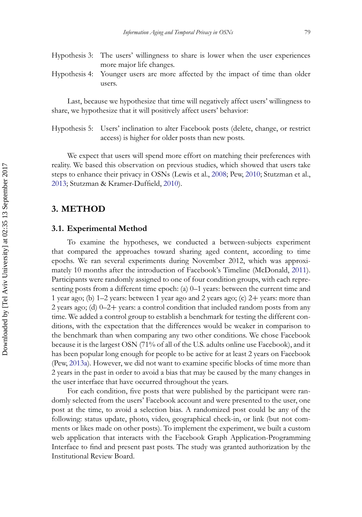- Hypothesis 3: The users' willingness to share is lower when the user experiences more major life changes.
- Hypothesis 4: Younger users are more affected by the impact of time than older users.

Last, because we hypothesize that time will negatively affect users' willingness to share, we hypothesize that it will positively affect users' behavior:

Hypothesis 5: Users' inclination to alter Facebook posts (delete, change, or restrict access) is higher for older posts than new posts.

We expect that users will spend more effort on matching their preferences with reality. We based this observation on previous studies, which showed that users take steps to enhance their privacy in OSNs (Lewis et al., [2008;](#page-25-7) Pew, [2010;](#page-25-8) Stutzman et al., [2013;](#page-25-9) Stutzman & Kramer-Duffield, [2010\)](#page-25-10).

#### **3. METHOD**

#### **3.1. Experimental Method**

<span id="page-7-0"></span>To examine the hypotheses, we conducted a between-subjects experiment that compared the approaches toward sharing aged content, according to time epochs. We ran several experiments during November 2012, which was approximately 10 months after the introduction of Facebook's Timeline (McDonald, [2011\)](#page-25-12). Participants were randomly assigned to one of four condition groups, with each representing posts from a different time epoch: (a) 0–1 years: between the current time and 1 year ago; (b) 1–2 years: between 1 year ago and 2 years ago; (c) 2+ years: more than 2 years ago; (d)  $0-2+$  years: a control condition that included random posts from any time. We added a control group to establish a benchmark for testing the different conditions, with the expectation that the differences would be weaker in comparison to the benchmark than when comparing any two other conditions. We chose Facebook because it is the largest OSN (71% of all of the U.S. adults online use Facebook), and it has been popular long enough for people to be active for at least 2 years on Facebook (Pew, [2013a\)](#page-25-13). However, we did not want to examine specific blocks of time more than 2 years in the past in order to avoid a bias that may be caused by the many changes in the user interface that have occurred throughout the years.

For each condition, five posts that were published by the participant were randomly selected from the users' Facebook account and were presented to the user, one post at the time, to avoid a selection bias. A randomized post could be any of the following: status update, photo, video, geographical check-in, or link (but not comments or likes made on other posts). To implement the experiment, we built a custom web application that interacts with the Facebook Graph Application-Programming Interface to find and present past posts. The study was granted authorization by the Institutional Review Board.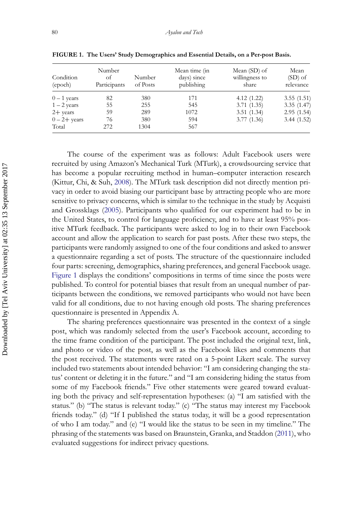| Condition<br>(epoch) | Number<br>οf<br>Participants | Number<br>of Posts | Mean time (in<br>days) since<br>publishing | Mean (SD) of<br>willingness to<br>share | Mean<br>$(SD)$ of<br>relevance |
|----------------------|------------------------------|--------------------|--------------------------------------------|-----------------------------------------|--------------------------------|
| $0-1$ years          | 82                           | 380                | 171                                        | 4.12(1.22)                              | 3.55(1.51)                     |
| $1 - 2$ years        | 55                           | 255                | 545                                        | 3.71(1.35)                              | 3.35(1.47)                     |
| $2 + \text{years}$   | 59                           | 289                | 1072                                       | 3.51(1.34)                              | 2.95(1.54)                     |
| $0-2+$ years         | 76                           | 380                | 594                                        | 3.77(1.36)                              | 3.44(1.52)                     |
| Total                | 272                          | 1304               | 567                                        |                                         |                                |

<span id="page-8-0"></span>**FIGURE 1. The Users' Study Demographics and Essential Details, on a Per-post Basis.**

The course of the experiment was as follows: Adult Facebook users were recruited by using Amazon's Mechanical Turk (MTurk), a crowdsourcing service that has become a popular recruiting method in human–computer interaction research (Kittur, Chi, & Suh, [2008\)](#page-25-14). The MTurk task description did not directly mention privacy in order to avoid biasing our participant base by attracting people who are more sensitive to privacy concerns, which is similar to the technique in the study by Acquisti and Grossklags [\(2005\)](#page-23-4). Participants who qualified for our experiment had to be in the United States, to control for language proficiency, and to have at least 95% positive MTurk feedback. The participants were asked to log in to their own Facebook account and allow the application to search for past posts. After these two steps, the participants were randomly assigned to one of the four conditions and asked to answer a questionnaire regarding a set of posts. The structure of the questionnaire included four parts: screening, demographics, sharing preferences, and general Facebook usage. [Figure 1](#page-8-0) displays the conditions' compositions in terms of time since the posts were published. To control for potential biases that result from an unequal number of participants between the conditions, we removed participants who would not have been valid for all conditions, due to not having enough old posts. The sharing preferences questionnaire is presented in Appendix A.

The sharing preferences questionnaire was presented in the context of a single post, which was randomly selected from the user's Facebook account, according to the time frame condition of the participant. The post included the original text, link, and photo or video of the post, as well as the Facebook likes and comments that the post received. The statements were rated on a 5-point Likert scale. The survey included two statements about intended behavior: "I am considering changing the status' content or deleting it in the future." and "I am considering hiding the status from some of my Facebook friends." Five other statements were geared toward evaluating both the privacy and self-representation hypotheses: (a) "I am satisfied with the status." (b) "The status is relevant today." (c) "The status may interest my Facebook friends today." (d) "If I published the status today, it will be a good representation of who I am today." and (e) "I would like the status to be seen in my timeline." The phrasing of the statements was based on Braunstein, Granka, and Staddon [\(2011\)](#page-24-11), who evaluated suggestions for indirect privacy questions.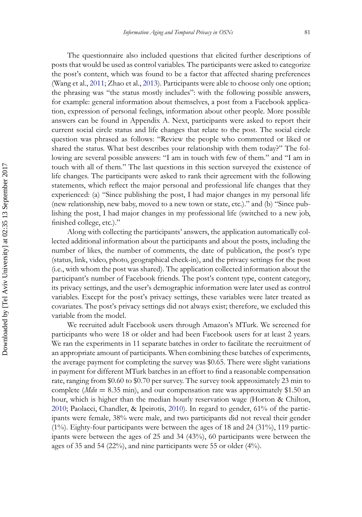The questionnaire also included questions that elicited further descriptions of posts that would be used as control variables. The participants were asked to categorize the post's content, which was found to be a factor that affected sharing preferences (Wang et al., [2011;](#page-26-2) Zhao et al., [2013\)](#page-26-1). Participants were able to choose only one option; the phrasing was "the status mostly includes": with the following possible answers, for example: general information about themselves, a post from a Facebook application, expression of personal feelings, information about other people. More possible answers can be found in Appendix A. Next, participants were asked to report their current social circle status and life changes that relate to the post. The social circle question was phrased as follows: "Review the people who commented or liked or shared the status. What best describes your relationship with them today?" The following are several possible answers: "I am in touch with few of them." and "I am in touch with all of them." The last questions in this section surveyed the existence of life changes. The participants were asked to rank their agreement with the following statements, which reflect the major personal and professional life changes that they experienced: (a) "Since publishing the post, I had major changes in my personal life (new relationship, new baby, moved to a new town or state, etc.)." and (b) "Since publishing the post, I had major changes in my professional life (switched to a new job, finished college, etc.)."

Along with collecting the participants' answers, the application automatically collected additional information about the participants and about the posts, including the number of likes, the number of comments, the date of publication, the post's type (status, link, video, photo, geographical check-in), and the privacy settings for the post (i.e., with whom the post was shared). The application collected information about the participant's number of Facebook friends. The post's content type, content category, its privacy settings, and the user's demographic information were later used as control variables. Except for the post's privacy settings, these variables were later treated as covariates. The post's privacy settings did not always exist; therefore, we excluded this variable from the model.

We recruited adult Facebook users through Amazon's MTurk. We screened for participants who were 18 or older and had been Facebook users for at least 2 years. We ran the experiments in 11 separate batches in order to facilitate the recruitment of an appropriate amount of participants. When combining these batches of experiments, the average payment for completing the survey was \$0.65. There were slight variations in payment for different MTurk batches in an effort to find a reasonable compensation rate, ranging from \$0.60 to \$0.70 per survey. The survey took approximately 23 min to complete (*Mdn* = 8.35 min), and our compensation rate was approximately \$1.50 an hour, which is higher than the median hourly reservation wage (Horton & Chilton, [2010;](#page-24-12) Paolacci, Chandler, & Ipeirotis, [2010\)](#page-25-15). In regard to gender, 61% of the participants were female, 38% were male, and two participants did not reveal their gender  $(1\%)$ . Eighty-four participants were between the ages of 18 and 24  $(31\%)$ , 119 participants were between the ages of 25 and 34 (43%), 60 participants were between the ages of 35 and 54 (22%), and nine participants were 55 or older (4%).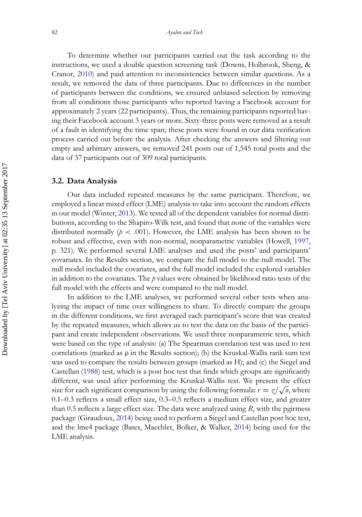To determine whether our participants carried out the task according to the instructions, we used a double question screening task (Downs, Holbrook, Sheng, & Cranor, [2010\)](#page-24-13) and paid attention to inconsistencies between similar questions. As a result, we removed the data of three participants. Due to differences in the number of participants between the conditions, we ensured unbiased selection by removing from all conditions those participants who reported having a Facebook account for approximately 2 years (22 participants). Thus, the remaining participants reported having their Facebook account 3 years or more. Sixty-three posts were removed as a result of a fault in identifying the time span; these posts were found in our data verification process carried out before the analysis. After checking the answers and filtering out empty and arbitrary answers, we removed 241 posts out of 1,545 total posts and the data of 37 participants out of 309 total participants.

#### **3.2. Data Analysis**

Our data included repeated measures by the same participant. Therefore, we employed a linear mixed effect (LME) analysis to take into account the random effects in our model (Winter, [2013\)](#page-26-3). We tested all of the dependent variables for normal distributions, according to the Shapiro-Wilk test, and found that none of the variables were distributed normally ( $p < .001$ ). However, the LME analysis has been shown to be robust and effective, even with non-normal, nonparametric variables (Howell, [1997,](#page-25-16) p. 321). We performed several LME analyses and used the posts' and participants' covariates. In the Results section, we compare the full model to the null model. The null model included the covariates, and the full model included the explored variables in addition to the covariates. The *p* values were obtained by likelihood ratio tests of the full model with the effects and were compared to the null model.

In addition to the LME analyses, we performed several other tests when analyzing the impact of time over willingness to share. To directly compare the groups in the different conditions, we first averaged each participant's score that was created by the repeated measures, which allows us to test the data on the basis of the participant and create independent observations. We used three nonparametric tests, which were based on the type of analysis: (a) The Spearman correlation test was used to test correlations (marked as  $\rho$  in the Results section); (b) the Kruskal-Wallis rank sum test was used to compare the results between groups (marked as H); and (c) the Siegel and Castellan [\(1988\)](#page-25-17) test, which is a post hoc test that finds which groups are significantly different, was used after performing the Kruskal-Wallis test. We present the effect size for each significant comparison by using the following formula:  $r = \frac{z}{\sqrt{n}}$ , where 0.1–0.3 reflects a small effect size, 0.3–0.5 reflects a medium effect size, and greater than 0.5 reflects a large effect size. The data were analyzed using *R*, with the pgirmess package (Giraudoux, [2014\)](#page-24-14) being used to perform a Siegel and Castellan post hoc test, and the lme4 package (Bates, Maechler, Bolker, & Walker, [2014\)](#page-23-5) being used for the LME analysis.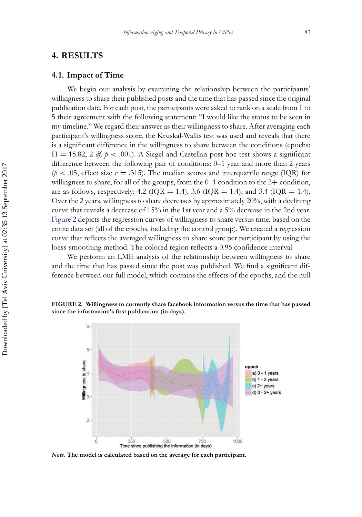#### **4. RESULTS**

#### <span id="page-11-1"></span>**4.1. Impact of Time**

We begin our analysis by examining the relationship between the participants' willingness to share their published posts and the time that has passed since the original publication date. For each post, the participants were asked to rank on a scale from 1 to 5 their agreement with the following statement: "I would like the status to be seen in my timeline." We regard their answer as their willingness to share. After averaging each participant's willingness score, the Kruskal-Wallis test was used and reveals that there is a significant difference in the willingness to share between the conditions (epochs;  $H = 15.82$ , 2 *df, p* < .001). A Siegel and Castellan post hoc test shows a significant difference between the following pair of conditions: 0–1 year and more than 2 years  $(p < .05,$  effect size  $r = .315$ ). The median scores and interquartile range (IQR) for willingness to share, for all of the groups, from the 0–1 condition to the 2+ condition, are as follows, respectively: 4.2 ( $IQR = 1.4$ ), 3.6 ( $IQR = 1.4$ ), and 3.4 ( $IQR = 1.4$ ). Over the 2 years, willingness to share decreases by approximately 20%, with a declining curve that reveals a decrease of 15% in the 1st year and a 5% decrease in the 2nd year. [Figure 2](#page-11-0) depicts the regression curves of willingness to share versus time, based on the entire data set (all of the epochs, including the control group). We created a regression curve that reflects the averaged willingness to share score per participant by using the loess-smoothing method. The colored region reflects a 0.95 confidence interval.

We perform an LME analysis of the relationship between willingness to share and the time that has passed since the post was published. We find a significant difference between our full model, which contains the effects of the epochs, and the null

#### <span id="page-11-0"></span>**FIGURE 2. Willingness to currently share facebook information versus the time that has passed since the information's first publication (in days).**



*Note.* **The model is calculated based on the average for each participant.**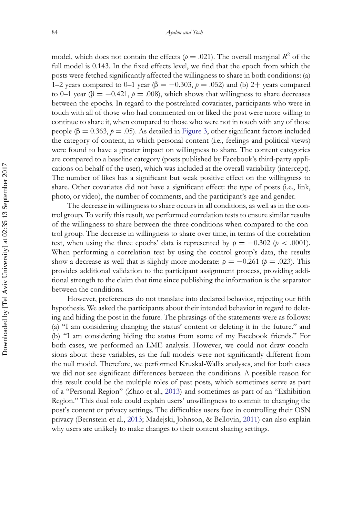model, which does not contain the effects ( $p = .021$ ). The overall marginal  $R^2$  of the full model is 0.143. In the fixed effects level, we find that the epoch from which the posts were fetched significantly affected the willingness to share in both conditions: (a) 1–2 years compared to 0–1 year (β = -0.303,  $p = .052$ ) and (b) 2+ years compared to 0–1 year ( $\beta = -0.421$ ,  $\beta = .008$ ), which shows that willingness to share decreases between the epochs. In regard to the postrelated covariates, participants who were in touch with all of those who had commented on or liked the post were more willing to continue to share it, when compared to those who were not in touch with any of those people ( $\beta = 0.363$ ,  $p = .05$ ). As detailed in [Figure 3,](#page-16-0) other significant factors included the category of content, in which personal content (i.e., feelings and political views) were found to have a greater impact on willingness to share. The content categories are compared to a baseline category (posts published by Facebook's third-party applications on behalf of the user), which was included at the overall variability (intercept). The number of likes has a significant but weak positive effect on the willingness to share. Other covariates did not have a significant effect: the type of posts (i.e., link, photo, or video), the number of comments, and the participant's age and gender.

The decrease in willingness to share occurs in all conditions, as well as in the control group. To verify this result, we performed correlation tests to ensure similar results of the willingness to share between the three conditions when compared to the control group. The decrease in willingness to share over time, in terms of the correlation test, when using the three epochs' data is represented by  $\rho = -0.302$  ( $p < .0001$ ). When performing a correlation test by using the control group's data, the results show a decrease as well that is slightly more moderate:  $\rho = -0.261$  ( $p = .023$ ). This provides additional validation to the participant assignment process, providing additional strength to the claim that time since publishing the information is the separator between the conditions.

However, preferences do not translate into declared behavior, rejecting our fifth hypothesis. We asked the participants about their intended behavior in regard to deleting and hiding the post in the future. The phrasings of the statements were as follows: (a) "I am considering changing the status' content or deleting it in the future." and (b) "I am considering hiding the status from some of my Facebook friends." For both cases, we performed an LME analysis. However, we could not draw conclusions about these variables, as the full models were not significantly different from the null model. Therefore, we performed Kruskal-Wallis analyses, and for both cases we did not see significant differences between the conditions. A possible reason for this result could be the multiple roles of past posts, which sometimes serve as part of a "Personal Region" (Zhao et al., [2013\)](#page-26-1) and sometimes as part of an "Exhibition Region." This dual role could explain users' unwillingness to commit to changing the post's content or privacy settings. The difficulties users face in controlling their OSN privacy (Bernstein et al., [2013;](#page-23-0) Madejski, Johnson, & Bellovin, [2011\)](#page-25-18) can also explain why users are unlikely to make changes to their content sharing settings.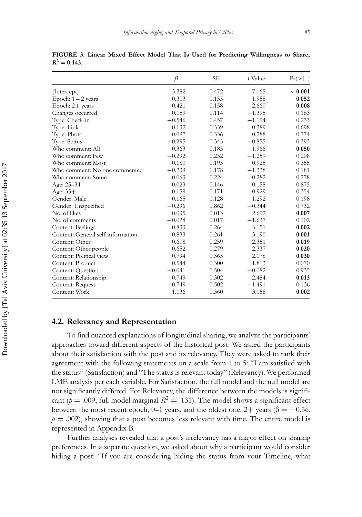|                                   | $\beta$  | SE    | t Value  | Pr(> t ) |
|-----------------------------------|----------|-------|----------|----------|
| (Intercept)                       | 3.382    | 0.472 | 7.165    | < 0.001  |
| Epoch: $1 - 2$ years              | $-0.303$ | 0.155 | $-1.958$ | 0.052    |
| Epoch: 2+ years                   | $-0.421$ | 0.158 | $-2.660$ | 0.008    |
| Changes occurred                  | $-0.159$ | 0.114 | $-1.395$ | 0.163    |
| Type: Check-in                    | $-0.546$ | 0.457 | $-1.194$ | 0.233    |
| Type: Link                        | 0.132    | 0.339 | 0.389    | 0.698    |
| Type: Photo                       | 0.097    | 0.336 | 0.288    | 0.774    |
| Type: Status                      | $-0.295$ | 0.345 | $-0.855$ | 0.393    |
| Who comment: All                  | 0.363    | 0.185 | 1.966    | 0.050    |
| Who comment: Few                  | $-0.292$ | 0.232 | $-1.259$ | 0.208    |
| Who comment: Most                 | 0.180    | 0.195 | 0.925    | 0.355    |
| Who comment: No one commented     | $-0.239$ | 0.178 | $-1.338$ | 0.181    |
| Who comment: Some                 | 0.063    | 0.224 | 0.282    | 0.778    |
| Age: $25 - 34$                    | 0.023    | 0.146 | 0.158    | 0.875    |
| Age: $35+$                        | 0.159    | 0.171 | 0.929    | 0.354    |
| Gender: Male                      | $-0.165$ | 0.128 | $-1.292$ | 0.198    |
| Gender: Unspecified               | $-0.296$ | 0.862 | $-0.344$ | 0.732    |
| No. of likes                      | 0.035    | 0.013 | 2.692    | 0.007    |
| No. of comments                   | $-0.028$ | 0.017 | $-1.637$ | 0.102    |
| Content: Feelings                 | 0.833    | 0.264 | 3.151    | 0.002    |
| Content: General self-information | 0.833    | 0.261 | 3.190    | 0.001    |
| Content: Other                    | 0.608    | 0.259 | 2.351    | 0.019    |
| Content: Other people             | 0.652    | 0.279 | 2.337    | 0.020    |
| Content: Political view           | 0.794    | 0.365 | 2.178    | 0.030    |
| Content: Product                  | 0.544    | 0.300 | 1.813    | 0.070    |
| Content: Question                 | $-0.041$ | 0.504 | $-0.082$ | 0.935    |
| Content: Relationship             | 0.749    | 0.302 | 2.484    | 0.013    |
| Content: Request                  | $-0.749$ | 0.502 | $-1.491$ | 0.136    |
| Content: Work                     | 1.136    | 0.360 | 3.158    | 0.002    |

**FIGURE 3. Linear Mixed Effect Model That Is Used for Predicting Willingness to Share,**  $R^2 = 0.143$ .

#### <span id="page-13-0"></span>**4.2. Relevancy and Representation**

To find nuanced explanations of longitudinal sharing, we analyze the participants' approaches toward different aspects of the historical post. We asked the participants about their satisfaction with the post and its relevancy. They were asked to rank their agreement with the following statements on a scale from 1 to 5: "I am satisfied with the status" (Satisfaction) and "The status is relevant today" (Relevancy). We performed LME analysis per each variable. For Satisfaction, the full model and the null model are not significantly differed. For Relevancy, the difference between the models is significant ( $p = .009$ , full model marginal  $R^2 = .131$ ). The model shows a significant effect between the most recent epoch, 0–1 years, and the oldest one, 2+ years ( $\beta = -0.56$ ,  $p = .002$ ), showing that a post becomes less relevant with time. The entire model is represented in Appendix B.

Further analyses revealed that a post's irrelevancy has a major effect on sharing preferences. In a separate question, we asked about why a participant would consider hiding a post: "If you are considering hiding the status from your Timeline, what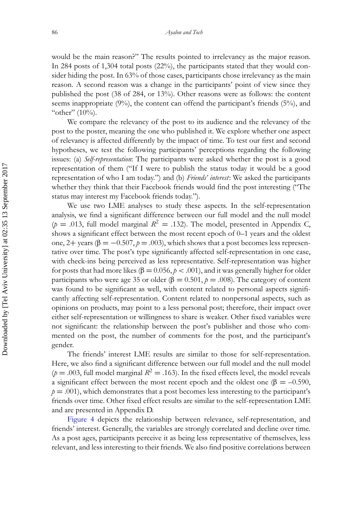would be the main reason?" The results pointed to irrelevancy as the major reason. In 284 posts of 1,304 total posts (22%), the participants stated that they would consider hiding the post. In 63% of those cases, participants chose irrelevancy as the main reason. A second reason was a change in the participants' point of view since they published the post (38 of 284, or 13%). Other reasons were as follows: the content seems inappropriate (9%), the content can offend the participant's friends (5%), and "other"  $(10\%)$ .

We compare the relevancy of the post to its audience and the relevancy of the post to the poster, meaning the one who published it. We explore whether one aspect of relevancy is affected differently by the impact of time. To test our first and second hypotheses, we test the following participants' perceptions regarding the following issues: (a) *Self-representation*: The participants were asked whether the post is a good representation of them ("If I were to publish the status today it would be a good representation of who I am today.") and (b) *Friends' interest*: We asked the participants whether they think that their Facebook friends would find the post interesting ("The status may interest my Facebook friends today.").

We use two LME analyses to study these aspects. In the self-representation analysis, we find a significant difference between our full model and the null model ( $p = .013$ , full model marginal  $R^2 = .132$ ). The model, presented in Appendix C, shows a significant effect between the most recent epoch of 0–1 years and the oldest one,  $2+$  years ( $\beta = -0.507$ ,  $\rho = .003$ ), which shows that a post becomes less representative over time. The post's type significantly affected self-representation in one case, with check-ins being perceived as less representative. Self-representation was higher for posts that had more likes ( $\beta = 0.056$ ,  $p < .001$ ), and it was generally higher for older participants who were age 35 or older ( $\beta = 0.501$ ,  $\beta = .008$ ). The category of content was found to be significant as well, with content related to personal aspects significantly affecting self-representation. Content related to nonpersonal aspects, such as opinions on products, may point to a less personal post; therefore, their impact over either self-representation or willingness to share is weaker. Other fixed variables were not significant: the relationship between the post's publisher and those who commented on the post, the number of comments for the post, and the participant's gender.

The friends' interest LME results are similar to those for self-representation. Here, we also find a significant difference between our full model and the null model  $(p = .003$ , full model marginal  $R^2 = .163$ ). In the fixed effects level, the model reveals a significant effect between the most recent epoch and the oldest one (β = -0.590,  $p = .001$ , which demonstrates that a post becomes less interesting to the participant's friends over time. Other fixed effect results are similar to the self-representation LME and are presented in Appendix D.

[Figure 4](#page-15-0) depicts the relationship between relevance, self-representation, and friends' interest. Generally, the variables are strongly correlated and decline over time. As a post ages, participants perceive it as being less representative of themselves, less relevant, and less interesting to their friends. We also find positive correlations between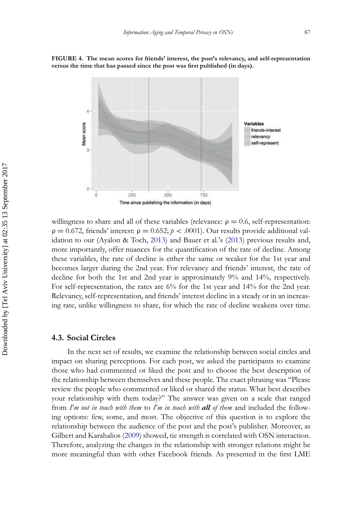

<span id="page-15-0"></span>**FIGURE 4. The mean scores for friends' interest, the post's relevancy, and self-representation versus the time that has passed since the post was first published (in days).**

willingness to share and all of these variables (relevance:  $\rho = 0.6$ , self-representation:  $\rho = 0.672$ , friends' interest:  $\rho = 0.652$ ;  $p < .0001$ ). Our results provide additional validation to our (Ayalon & Toch, [2013\)](#page-23-2) and Bauer et al.'s [\(2013\)](#page-23-3) previous results and, more importantly, offer nuances for the quantification of the rate of decline. Among these variables, the rate of decline is either the same or weaker for the 1st year and becomes larger during the 2nd year. For relevancy and friends' interest, the rate of decline for both the 1st and 2nd year is approximately 9% and 14%, respectively. For self-representation, the rates are 6% for the 1st year and 14% for the 2nd year. Relevancy, self-representation, and friends' interest decline in a steady or in an increasing rate, unlike willingness to share, for which the rate of decline weakens over time.

#### **4.3. Social Circles**

In the next set of results, we examine the relationship between social circles and impact on sharing perceptions. For each post, we asked the participants to examine those who had commented or liked the post and to choose the best description of the relationship between themselves and these people. The exact phrasing was "Please review the people who commented or liked or shared the status. What best describes your relationship with them today?" The answer was given on a scale that ranged from *I'm not in touch with them* to *I'm in touch with all of them* and included the following options: few, some, and most. The objective of this question is to explore the relationship between the audience of the post and the post's publisher. Moreover, as Gilbert and Karahalios [\(2009\)](#page-24-15) showed, tie strength is correlated with OSN interaction. Therefore, analyzing the changes in the relationship with stronger relations might be more meaningful than with other Facebook friends. As presented in the first LME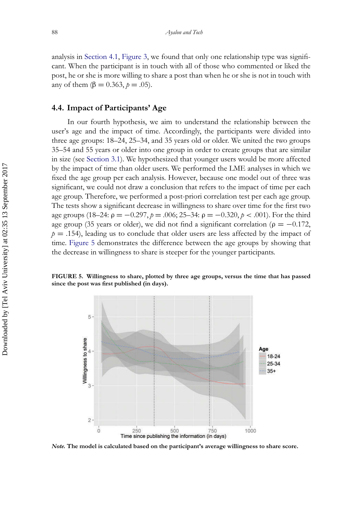analysis in [Section 4.1,](#page-11-1) [Figure 3,](#page-16-0) we found that only one relationship type was significant. When the participant is in touch with all of those who commented or liked the post, he or she is more willing to share a post than when he or she is not in touch with any of them (β = 0.363, *p* = .05).

#### **4.4. Impact of Participants' Age**

In our fourth hypothesis, we aim to understand the relationship between the user's age and the impact of time. Accordingly, the participants were divided into three age groups: 18–24, 25–34, and 35 years old or older. We united the two groups 35–54 and 55 years or older into one group in order to create groups that are similar in size (see [Section 3.1\)](#page-7-0). We hypothesized that younger users would be more affected by the impact of time than older users. We performed the LME analyses in which we fixed the age group per each analysis. However, because one model out of three was significant, we could not draw a conclusion that refers to the impact of time per each age group. Therefore, we performed a post-priori correlation test per each age group. The tests show a significant decrease in willingness to share over time for the first two age groups (18–24: ρ = −0.297, *p* = .006; 25–34: ρ = −0.320, *p* < .001). For the third age group (35 years or older), we did not find a significant correlation ( $\rho = -0.172$ ,  $p = .154$ , leading us to conclude that older users are less affected by the impact of time. [Figure 5](#page-16-0) demonstrates the difference between the age groups by showing that the decrease in willingness to share is steeper for the younger participants.

<span id="page-16-0"></span>**FIGURE 5. Willingness to share, plotted by three age groups, versus the time that has passed since the post was first published (in days).**



*Note.* **The model is calculated based on the participant's average willingness to share score.**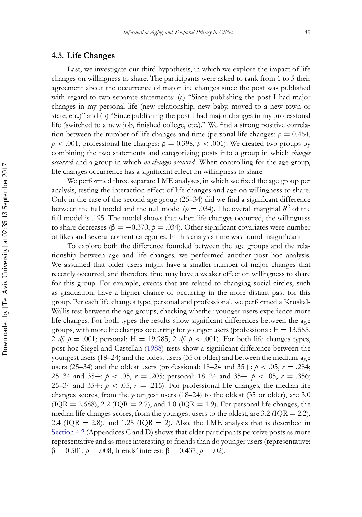#### **4.5. Life Changes**

Last, we investigate our third hypothesis, in which we explore the impact of life changes on willingness to share. The participants were asked to rank from 1 to 5 their agreement about the occurrence of major life changes since the post was published with regard to two separate statements: (a) "Since publishing the post I had major changes in my personal life (new relationship, new baby, moved to a new town or state, etc.)" and (b) "Since publishing the post I had major changes in my professional life (switched to a new job, finished college, etc.)." We find a strong positive correlation between the number of life changes and time (personal life changes:  $\rho = 0.464$ ,  $p < .001$ ; professional life changes:  $p = 0.398$ ,  $p < .001$ ). We created two groups by combining the two statements and categorizing posts into a group in which *changes occurred* and a group in which *no changes occurred* . When controlling for the age group, life changes occurrence has a significant effect on willingness to share.

We performed three separate LME analyses, in which we fixed the age group per analysis, testing the interaction effect of life changes and age on willingness to share. Only in the case of the second age group (25–34) did we find a significant difference between the full model and the null model ( $p = .034$ ). The overall marginal  $R^2$  of the full model is .195. The model shows that when life changes occurred, the willingness to share decreases ( $\beta = -0.370$ ,  $p = .034$ ). Other significant covariates were number of likes and several content categories. In this analysis time was found insignificant.

To explore both the difference founded between the age groups and the relationship between age and life changes, we performed another post hoc analysis. We assumed that older users might have a smaller number of major changes that recently occurred, and therefore time may have a weaker effect on willingness to share for this group. For example, events that are related to changing social circles, such as graduation, have a higher chance of occurring in the more distant past for this group. Per each life changes type, personal and professional, we performed a Kruskal-Wallis test between the age groups, checking whether younger users experience more life changes. For both types the results show significant differences between the age groups, with more life changes occurring for younger users (professional:  $H = 13.585$ , 2 *df, p* = .001; personal: H = 19.985, 2 *df, p* < .001). For both life changes types, post hoc Siegel and Castellan [\(1988\)](#page-25-17) tests show a significant difference between the youngest users (18–24) and the oldest users (35 or older) and between the medium-age users (25–34) and the oldest users (professional:  $18-24$  and  $35+$ :  $p < .05$ ,  $r = .284$ ; 25–34 and 35+: *p* < .05, *r* = .205; personal: 18–24 and 35+: *p* < .05, *r* = .356; 25–34 and 35+:  $p < .05$ ,  $r = .215$ ). For professional life changes, the median life changes scores, from the youngest users (18–24) to the oldest (35 or older), are 3.0  $(IQR = 2.688), 2.2$   $(IQR = 2.7),$  and 1.0  $(IQR = 1.9)$ . For personal life changes, the median life changes scores, from the youngest users to the oldest, are 3.2 ( $IQR = 2.2$ ), 2.4 (IQR  $=$  2.8), and 1.25 (IQR  $=$  2). Also, the LME analysis that is described in [Section 4.2](#page-13-0) (Appendices C and D) shows that older participants perceive posts as more representative and as more interesting to friends than do younger users (representative:  $β = 0.501, p = .008$ ; friends' interest:  $β = 0.437, p = .02$ ).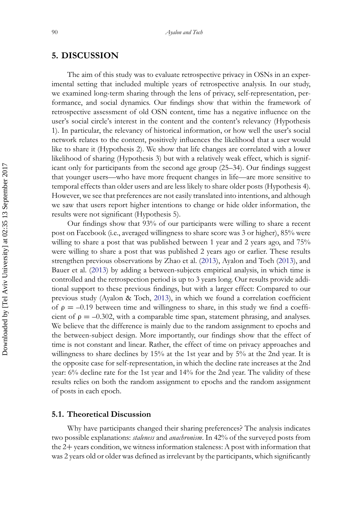## **5. DISCUSSION**

The aim of this study was to evaluate retrospective privacy in OSNs in an experimental setting that included multiple years of retrospective analysis. In our study, we examined long-term sharing through the lens of privacy, self-representation, performance, and social dynamics. Our findings show that within the framework of retrospective assessment of old OSN content, time has a negative influence on the user's social circle's interest in the content and the content's relevancy (Hypothesis 1). In particular, the relevancy of historical information, or how well the user's social network relates to the content, positively influences the likelihood that a user would like to share it (Hypothesis 2). We show that life changes are correlated with a lower likelihood of sharing (Hypothesis 3) but with a relatively weak effect, which is significant only for participants from the second age group (25–34). Our findings suggest that younger users—who have more frequent changes in life—are more sensitive to temporal effects than older users and are less likely to share older posts (Hypothesis 4). However, we see that preferences are not easily translated into intentions, and although we saw that users report higher intentions to change or hide older information, the results were not significant (Hypothesis 5).

Our findings show that 93% of our participants were willing to share a recent post on Facebook (i.e., averaged willingness to share score was 3 or higher), 85% were willing to share a post that was published between 1 year and 2 years ago, and 75% were willing to share a post that was published 2 years ago or earlier. These results strengthen previous observations by Zhao et al. [\(2013\)](#page-26-1), Ayalon and Toch [\(2013\)](#page-23-2), and Bauer et al. [\(2013\)](#page-23-3) by adding a between-subjects empirical analysis, in which time is controlled and the retrospection period is up to 3 years long. Our results provide additional support to these previous findings, but with a larger effect: Compared to our previous study (Ayalon & Toch, [2013\)](#page-23-2), in which we found a correlation coefficient of  $ρ = -0.19$  between time and willingness to share, in this study we find a coefficient of  $\rho = -0.302$ , with a comparable time span, statement phrasing, and analyses. We believe that the difference is mainly due to the random assignment to epochs and the between-subject design. More importantly, our findings show that the effect of time is not constant and linear. Rather, the effect of time on privacy approaches and willingness to share declines by 15% at the 1st year and by 5% at the 2nd year. It is the opposite case for self-representation, in which the decline rate increases at the 2nd year: 6% decline rate for the 1st year and 14% for the 2nd year. The validity of these results relies on both the random assignment to epochs and the random assignment of posts in each epoch.

#### **5.1. Theoretical Discussion**

Why have participants changed their sharing preferences? The analysis indicates two possible explanations: *staleness* and *anachronism*. In 42% of the surveyed posts from the 2+ years condition, we witness information staleness: A post with information that was 2 years old or older was defined as irrelevant by the participants, which significantly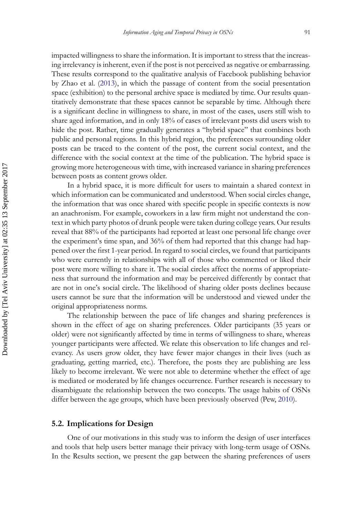impacted willingness to share the information. It is important to stress that the increasing irrelevancy is inherent, even if the post is not perceived as negative or embarrassing. These results correspond to the qualitative analysis of Facebook publishing behavior by Zhao et al. [\(2013\)](#page-26-1), in which the passage of content from the social presentation space (exhibition) to the personal archive space is mediated by time. Our results quantitatively demonstrate that these spaces cannot be separable by time. Although there is a significant decline in willingness to share, in most of the cases, users still wish to share aged information, and in only 18% of cases of irrelevant posts did users wish to hide the post. Rather, time gradually generates a "hybrid space" that combines both public and personal regions. In this hybrid region, the preferences surrounding older posts can be traced to the content of the post, the current social context, and the difference with the social context at the time of the publication. The hybrid space is growing more heterogeneous with time, with increased variance in sharing preferences between posts as content grows older.

In a hybrid space, it is more difficult for users to maintain a shared context in which information can be communicated and understood. When social circles change, the information that was once shared with specific people in specific contexts is now an anachronism. For example, coworkers in a law firm might not understand the context in which party photos of drunk people were taken during college years. Our results reveal that 88% of the participants had reported at least one personal life change over the experiment's time span, and 36% of them had reported that this change had happened over the first 1-year period. In regard to social circles, we found that participants who were currently in relationships with all of those who commented or liked their post were more willing to share it. The social circles affect the norms of appropriateness that surround the information and may be perceived differently by contact that are not in one's social circle. The likelihood of sharing older posts declines because users cannot be sure that the information will be understood and viewed under the original appropriateness norms.

The relationship between the pace of life changes and sharing preferences is shown in the effect of age on sharing preferences. Older participants (35 years or older) were not significantly affected by time in terms of willingness to share, whereas younger participants were affected. We relate this observation to life changes and relevancy. As users grow older, they have fewer major changes in their lives (such as graduating, getting married, etc.). Therefore, the posts they are publishing are less likely to become irrelevant. We were not able to determine whether the effect of age is mediated or moderated by life changes occurrence. Further research is necessary to disambiguate the relationship between the two concepts. The usage habits of OSNs differ between the age groups, which have been previously observed (Pew, [2010\)](#page-25-8).

#### **5.2. Implications for Design**

One of our motivations in this study was to inform the design of user interfaces and tools that help users better manage their privacy with long-term usage of OSNs. In the Results section, we present the gap between the sharing preferences of users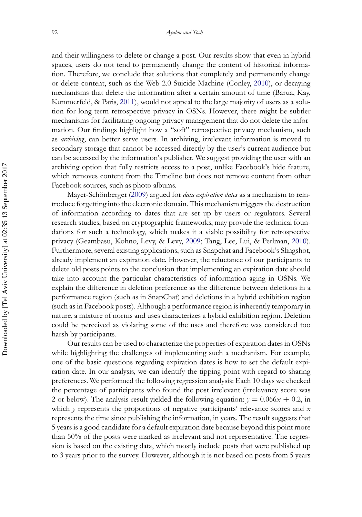and their willingness to delete or change a post. Our results show that even in hybrid spaces, users do not tend to permanently change the content of historical information. Therefore, we conclude that solutions that completely and permanently change or delete content, such as the Web 2.0 Suicide Machine (Conley, [2010\)](#page-24-16), or decaying mechanisms that delete the information after a certain amount of time (Barua, Kay, Kummerfeld, & Paris, [2011\)](#page-23-6), would not appeal to the large majority of users as a solution for long-term retrospective privacy in OSNs. However, there might be subtler mechanisms for facilitating ongoing privacy management that do not delete the information. Our findings highlight how a "soft" retrospective privacy mechanism, such as *archiving*, can better serve users. In archiving, irrelevant information is moved to secondary storage that cannot be accessed directly by the user's current audience but can be accessed by the information's publisher. We suggest providing the user with an archiving option that fully restricts access to a post, unlike Facebook's hide feature, which removes content from the Timeline but does not remove content from other Facebook sources, such as photo albums.

Mayer-Schönberger [\(2009\)](#page-25-1) argued for *data expiration dates* as a mechanism to reintroduce forgetting into the electronic domain. This mechanism triggers the destruction of information according to dates that are set up by users or regulators. Several research studies, based on cryptographic frameworks, may provide the technical foundations for such a technology, which makes it a viable possibility for retrospective privacy (Geambasu, Kohno, Levy, & Levy, [2009;](#page-24-17) Tang, Lee, Lui, & Perlman, [2010\)](#page-25-19). Furthermore, several existing applications, such as Snapchat and Facebook's Slingshot, already implement an expiration date. However, the reluctance of our participants to delete old posts points to the conclusion that implementing an expiration date should take into account the particular characteristics of information aging in OSNs. We explain the difference in deletion preference as the difference between deletions in a performance region (such as in SnapChat) and deletions in a hybrid exhibition region (such as in Facebook posts). Although a performance region is inherently temporary in nature, a mixture of norms and uses characterizes a hybrid exhibition region. Deletion could be perceived as violating some of the uses and therefore was considered too harsh by participants.

Our results can be used to characterize the properties of expiration dates in OSNs while highlighting the challenges of implementing such a mechanism. For example, one of the basic questions regarding expiration dates is how to set the default expiration date. In our analysis, we can identify the tipping point with regard to sharing preferences. We performed the following regression analysis: Each 10 days we checked the percentage of participants who found the post irrelevant (irrelevancy score was 2 or below). The analysis result yielded the following equation:  $y = 0.066x + 0.2$ , in which *y* represents the proportions of negative participants' relevance scores and *x* represents the time since publishing the information, in years. The result suggests that 5 years is a good candidate for a default expiration date because beyond this point more than 50% of the posts were marked as irrelevant and not representative. The regression is based on the existing data, which mostly include posts that were published up to 3 years prior to the survey. However, although it is not based on posts from 5 years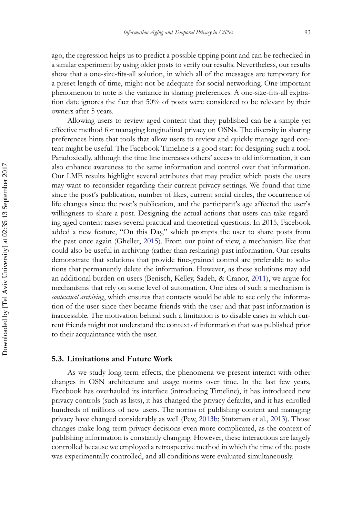ago, the regression helps us to predict a possible tipping point and can be rechecked in a similar experiment by using older posts to verify our results. Nevertheless, our results show that a one-size-fits-all solution, in which all of the messages are temporary for a preset length of time, might not be adequate for social networking. One important phenomenon to note is the variance in sharing preferences. A one-size-fits-all expiration date ignores the fact that 50% of posts were considered to be relevant by their owners after 5 years.

Allowing users to review aged content that they published can be a simple yet effective method for managing longitudinal privacy on OSNs. The diversity in sharing preferences hints that tools that allow users to review and quickly manage aged content might be useful. The Facebook Timeline is a good start for designing such a tool. Paradoxically, although the time line increases others' access to old information, it can also enhance awareness to the same information and control over that information. Our LME results highlight several attributes that may predict which posts the users may want to reconsider regarding their current privacy settings. We found that time since the post's publication, number of likes, current social circles, the occurrence of life changes since the post's publication, and the participant's age affected the user's willingness to share a post. Designing the actual actions that users can take regarding aged content raises several practical and theoretical questions. In 2015, Facebook added a new feature, "On this Day," which prompts the user to share posts from the past once again (Gheller, [2015\)](#page-24-18). From our point of view, a mechanism like that could also be useful in archiving (rather than resharing) past information. Our results demonstrate that solutions that provide fine-grained control are preferable to solutions that permanently delete the information. However, as these solutions may add an additional burden on users (Benisch, Kelley, Sadeh, & Cranor, [2011\)](#page-23-7), we argue for mechanisms that rely on some level of automation. One idea of such a mechanism is *contextual archiving*, which ensures that contacts would be able to see only the information of the user since they became friends with the user and that past information is inaccessible. The motivation behind such a limitation is to disable cases in which current friends might not understand the context of information that was published prior to their acquaintance with the user.

#### **5.3. Limitations and Future Work**

As we study long-term effects, the phenomena we present interact with other changes in OSN architecture and usage norms over time. In the last few years, Facebook has overhauled its interface (introducing Timeline), it has introduced new privacy controls (such as lists), it has changed the privacy defaults, and it has enrolled hundreds of millions of new users. The norms of publishing content and managing privacy have changed considerably as well (Pew, [2013b;](#page-25-20) Stutzman et al., [2013\)](#page-25-9). Those changes make long-term privacy decisions even more complicated, as the context of publishing information is constantly changing. However, these interactions are largely controlled because we employed a retrospective method in which the time of the posts was experimentally controlled, and all conditions were evaluated simultaneously.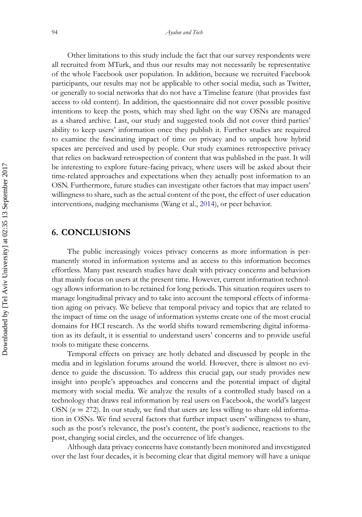Other limitations to this study include the fact that our survey respondents were all recruited from MTurk, and thus our results may not necessarily be representative of the whole Facebook user population. In addition, because we recruited Facebook participants, our results may not be applicable to other social media, such as Twitter, or generally to social networks that do not have a Timeline feature (that provides fast access to old content). In addition, the questionnaire did not cover possible positive intentions to keep the posts, which may shed light on the way OSNs are managed as a shared archive. Last, our study and suggested tools did not cover third parties' ability to keep users' information once they publish it. Further studies are required to examine the fascinating impact of time on privacy and to unpack how hybrid spaces are perceived and used by people. Our study examines retrospective privacy that relies on backward retrospection of content that was published in the past. It will be interesting to explore future-facing privacy, where users will be asked about their time-related approaches and expectations when they actually post information to an OSN. Furthermore, future studies can investigate other factors that may impact users' willingness to share, such as the actual content of the post, the effect of user education interventions, nudging mechanisms (Wang et al., [2014\)](#page-26-4), or peer behavior.

## **6. CONCLUSIONS**

The public increasingly voices privacy concerns as more information is permanently stored in information systems and as access to this information becomes effortless. Many past research studies have dealt with privacy concerns and behaviors that mainly focus on users at the present time. However, current information technology allows information to be retained for long periods. This situation requires users to manage longitudinal privacy and to take into account the temporal effects of information aging on privacy. We believe that temporal privacy and topics that are related to the impact of time on the usage of information systems create one of the most crucial domains for HCI research. As the world shifts toward remembering digital information as its default, it is essential to understand users' concerns and to provide useful tools to mitigate these concerns.

Temporal effects on privacy are hotly debated and discussed by people in the media and in legislation forums around the world. However, there is almost no evidence to guide the discussion. To address this crucial gap, our study provides new insight into people's approaches and concerns and the potential impact of digital memory with social media. We analyze the results of a controlled study based on a technology that draws real information by real users on Facebook, the world's largest OSN (*n* = 272). In our study, we find that users are less willing to share old information in OSNs. We find several factors that further impact users' willingness to share, such as the post's relevance, the post's content, the post's audience, reactions to the post, changing social circles, and the occurrence of life changes.

Although data privacy concerns have constantly been monitored and investigated over the last four decades, it is becoming clear that digital memory will have a unique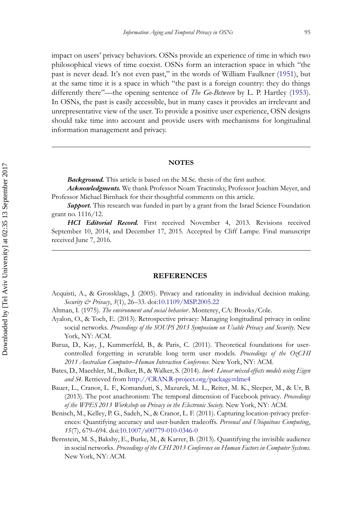impact on users' privacy behaviors. OSNs provide an experience of time in which two philosophical views of time coexist. OSNs form an interaction space in which "the past is never dead. It's not even past," in the words of William Faulkner [\(1951\)](#page-24-0), but at the same time it is a space in which "the past is a foreign country: they do things differently there"—the opening sentence of *The Go-Between* by L. P. Hartley [\(1953\)](#page-24-19). In OSNs, the past is easily accessible, but in many cases it provides an irrelevant and unrepresentative view of the user. To provide a positive user experience, OSN designs should take time into account and provide users with mechanisms for longitudinal information management and privacy.

#### **NOTES**

*Background.* This article is based on the M.Sc. thesis of the first author.

*Acknowledgments.* We thank Professor Noam Tractinsky, Professor Joachim Meyer, and Professor Michael Birnhack for their thoughtful comments on this article.

*Support.* This research was funded in part by a grant from the Israel Science Foundation grant no. 1116/12.

*HCI Editorial Record.* First received November 4, 2013. Revisions received September 10, 2014, and December 17, 2015. Accepted by Cliff Lampe. Final manuscript received June 7, 2016.

#### **REFERENCES**

- <span id="page-23-4"></span>Acquisti, A., & Grossklags, J. (2005). Privacy and rationality in individual decision making. *Security & Privacy*, *3*(1), 26–33. doi[:10.1109/MSP.2005.22](http://dx.doi.org/10.1109/\gdef yes{no}\penalty \z@ \gdef \ {\penalty \z@ }\gdef no{no}\gdef yes{yes}\gdef \ \gdef \ {\ }\gdef no{no}\gdef yes{yes}{\penalty \z@ \gdef \ {\penalty \z@ }\gdef no{no}\gdef yes{yes}}MSP.2005.22)
- <span id="page-23-1"></span>Altman, I. (1975). *The environment and social behavior*. Monterey, CA: Brooks/Cole.
- <span id="page-23-2"></span>Ayalon, O., & Toch, E. (2013). Retrospective privacy: Managing longitudinal privacy in online social networks. *Proceedings of the SOUPS 2013 Symposium on Usable Privacy and Security*. New York, NY: ACM.
- <span id="page-23-6"></span>Barua, D., Kay, J., Kummerfeld, B., & Paris, C. (2011). Theoretical foundations for usercontrolled forgetting in scrutable long term user models. *Proceedings of the OzCHI 2011 Australian Computer–Human Interaction Conference.* New York, NY: ACM.
- <span id="page-23-5"></span>Bates, D., Maechler, M., Bolker, B., & Walker, S. (2014). *lme4: Linear mixed-effects models using Eigen and S4*. Retrieved from http://CRAN.R-project.org/package=lme4
- <span id="page-23-3"></span>Bauer, L., Cranor, L. F., Komanduri, S., Mazurek, M. L., Reiter, M. K., Sleeper, M., & Ur, B. (2013). The post anachronism: The temporal dimension of Facebook privacy. *Proceedings of the WPES 2013 Workshop on Privacy in the Electronic Society.* New York, NY: ACM.
- <span id="page-23-7"></span>Benisch, M., Kelley, P. G., Sadeh, N., & Cranor, L. F. (2011). Capturing location-privacy preferences: Quantifying accuracy and user-burden tradeoffs. *Personal and Ubiquitous Computing*, *15*(7), 679–694. doi[:10.1007/s00779-010-0346-0](http://dx.doi.org/10.1007/\gdef yes{no}\penalty \z@ \gdef \ {\penalty \z@ }\gdef no{no}\gdef yes{yes}\gdef \ \gdef \ {\ }\gdef no{no}\gdef yes{yes}{\penalty \z@ \gdef \ {\penalty \z@ }\gdef no{no}\gdef yes{yes}}s00779-010-0346-0)
- <span id="page-23-0"></span>Bernstein, M. S., Bakshy, E., Burke, M., & Karrer, B. (2013). Quantifying the invisible audience in social networks. *Proceedings of the CHI 2013 Conference on Human Factors in Computer Systems.* New York, NY: ACM.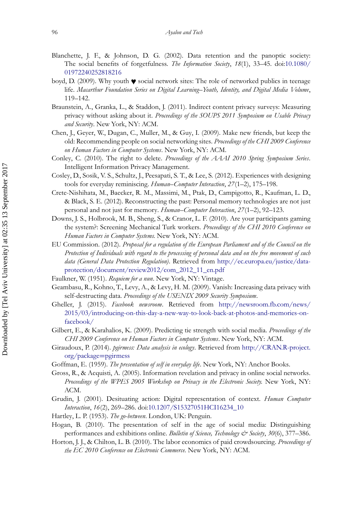- <span id="page-24-5"></span>Blanchette, J. F., & Johnson, D. G. (2002). Data retention and the panoptic society: The social benefits of forgetfulness. *The Information Society*, *18*(1), 33–45. doi:10.1080/ 01972240252818216
- <span id="page-24-8"></span>boyd, D. (2009). Why youth ♥ social network sites: The role of networked publics in teenage life. *Macarthur Foundation Series on Digital Learning–Youth, Identity, and Digital Media Volume*, 119–142.
- <span id="page-24-11"></span>Braunstein, A., Granka, L., & Staddon, J. (2011). Indirect content privacy surveys: Measuring privacy without asking about it. *Proceedings of the SOUPS 2011 Symposium on Usable Privacy and Security*. New York, NY: ACM.
- <span id="page-24-10"></span>Chen, J., Geyer, W., Dugan, C., Muller, M., & Guy, I. (2009). Make new friends, but keep the old: Recommending people on social networking sites. *Proceedings of the CHI 2009 Conference on Human Factors in Computer Systems*. New York, NY: ACM.
- <span id="page-24-16"></span>Conley, C. (2010). The right to delete. *Proceedings of the AAAI 2010 Spring Symposium Series*. Intelligent Information Privacy Management.
- <span id="page-24-6"></span>Cosley, D., Sosik, V. S., Schultz, J., Peesapati, S. T., & Lee, S. (2012). Experiences with designing tools for everyday reminiscing. *Human–Computer Interaction*, *27*(1–2), 175–198.
- <span id="page-24-7"></span>Crete-Nishihata, M., Baecker, R. M., Massimi, M., Ptak, D., Campigotto, R., Kaufman, L. D., & Black, S. E. (2012). Reconstructing the past: Personal memory technologies are not just personal and not just for memory. *Human–Computer Interaction*, *27*(1–2), 92–123.
- <span id="page-24-13"></span>Downs, J. S., Holbrook, M. B., Sheng, S., & Cranor, L. F. (2010). Are your participants gaming the system?: Screening Mechanical Turk workers. *Proceedings of the CHI 2010 Conference on Human Factors in Computer Systems.* New York, NY: ACM.
- <span id="page-24-2"></span>EU Commission. (2012). *Proposal for a regulation of the European Parliament and of the Council on the Protection of Individuals with regard to the processing of personal data and on the free movement of such data (General Data Protection Regulation)*. Retrieved from http://ec.europa.eu/justice/dataprotection/document/review2012/com\_2012\_11\_en.pdf
- <span id="page-24-0"></span>Faulkner, W. (1951). *Requiem for a nun*. New York, NY: Vintage.
- <span id="page-24-17"></span>Geambasu, R., Kohno, T., Levy, A., & Levy, H. M. (2009). Vanish: Increasing data privacy with self-destructing data. *Proceedings of the USENIX 2009 Security Symposium*.
- <span id="page-24-18"></span>Gheller, J. (2015). *Facebook newsroom*. Retrieved from http://newsroom.fb.com/news/ 2015/03/introducing-on-this-day-a-new-way-to-look-back-at-photos-and-memories-onfacebook/
- <span id="page-24-15"></span>Gilbert, E., & Karahalios, K. (2009). Predicting tie strength with social media. *Proceedings of the CHI 2009 Conference on Human Factors in Computer Systems*. New York, NY: ACM.
- <span id="page-24-14"></span>Giraudoux, P. (2014). *pgirmess: Data analysis in ecology*. Retrieved from http://CRAN.R-project. org/package=pgirmess
- <span id="page-24-4"></span>Goffman, E. (1959). *The presentation of self in everyday life*. New York, NY: Anchor Books.
- <span id="page-24-1"></span>Gross, R., & Acquisti, A. (2005). Information revelation and privacy in online social networks. *Proceedings of the WPES 2005 Workshop on Privacy in the Electronic Society.* New York, NY: ACM.
- <span id="page-24-9"></span>Grudin, J. (2001). Desituating action: Digital representation of context. *Human Computer Interaction*, *16*(2), 269–286. doi[:10.1207/S15327051HCI16234\\_10](http://dx.doi.org/10.1207/\gdef yes{no}\penalty \z@ \gdef \ {\penalty \z@ }\gdef no{no}\gdef yes{yes}\gdef \ \gdef \ {\ }\gdef no{no}\gdef yes{yes}{\penalty \z@ \gdef \ {\penalty \z@ }\gdef no{no}\gdef yes{yes}}\gdef yes{no}\penalty \z@ \gdef \ {\penalty \z@ }\gdef no{no}\gdef yes{yes}\gdef \ \gdef \ {\ }\gdef no{no}\gdef yes{yes}{\penalty \z@ \gdef \ {\penalty \z@ }\gdef no{no}\gdef yes{yes}}S15327051HCI16234\gdef yes{no}_\gdef \ {_}\gdef no{no}\gdef yes{yes}\gdef \ \gdef \ {\ }\gdef no{no}\gdef yes{yes}{_\gdef \ {_}\gdef no{no}\gdef yes{yes}}10)
- <span id="page-24-19"></span>Hartley, L. P. (1953). *The go-between*. London, UK: Penguin.
- <span id="page-24-3"></span>Hogan, B. (2010). The presentation of self in the age of social media: Distinguishing performances and exhibitions online. *Bulletin of Science, Technology & Society*, 30(6), 377-386.
- <span id="page-24-12"></span>Horton, J. J., & Chilton, L. B. (2010). The labor economics of paid crowdsourcing. *Proceedings of the EC 2010 Conference on Electronic Commerce.* New York, NY: ACM.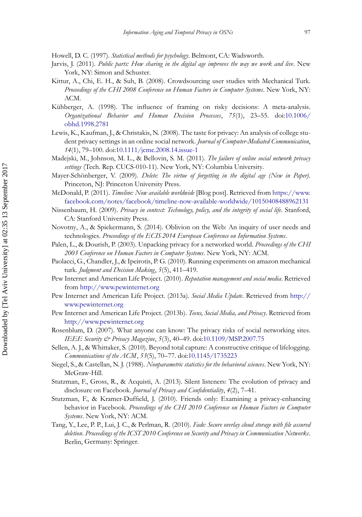<span id="page-25-16"></span>Howell, D. C. (1997). *Statistical methods for psychology*. Belmont, CA: Wadsworth.

- <span id="page-25-2"></span>Jarvis, J. (2011). *Public parts: How sharing in the digital age improves the way we work and live*. New York, NY: Simon and Schuster.
- <span id="page-25-14"></span>Kittur, A., Chi, E. H., & Suh, B. (2008). Crowdsourcing user studies with Mechanical Turk. *Proceedings of the CHI 2008 Conference on Human Factors in Computer Systems*. New York, NY: ACM.
- <span id="page-25-11"></span>Kühberger, A. (1998). The influence of framing on risky decisions: A meta-analysis. *Organizational Behavior and Human Decision Processes*, *75*(1), 23–55. doi:10.1006/ obhd.1998.2781
- <span id="page-25-7"></span>Lewis, K., Kaufman, J., & Christakis, N. (2008). The taste for privacy: An analysis of college student privacy settings in an online social network. *Journal of Computer-Mediated Communication*, *14*(1), 79–100. doi[:10.1111/jcmc.2008.14.issue-1](http://dx.doi.org/10.1111/\gdef yes{no}\penalty \z@ \gdef \ {\penalty \z@ }\gdef no{no}\gdef yes{yes}\gdef \ \gdef \ {\ }\gdef no{no}\gdef yes{yes}{\penalty \z@ \gdef \ {\penalty \z@ }\gdef no{no}\gdef yes{yes}}jcmc.2008.14.issue-1)
- <span id="page-25-18"></span>Madejski, M., Johnson, M. L., & Bellovin, S. M. (2011). *The failure of online social network privacy settings* (Tech. Rep. CUCS-010-11). New York, NY: Columbia University.
- <span id="page-25-1"></span>Mayer-Schönberger, V. (2009). *Delete: The virtue of forgetting in the digital age (New in Paper)*. Princeton, NJ: Princeton University Press.
- <span id="page-25-12"></span>McDonald, P. (2011). *Timeline: Now available worldwide* [Blog post]. Retrieved from https://www. facebook.com/notes/facebook/timeline-now-available-worldwide/10150408488962131
- <span id="page-25-5"></span>Nissenbaum, H. (2009). *Privacy in context: Technology, policy, and the integrity of social life*. Stanford, CA: Stanford University Press.
- <span id="page-25-3"></span>Novotny, A., & Spiekermann, S. (2014). Oblivion on the Web: An inquiry of user needs and technologies. *Proceedings of the ECIS 2014 European Conference on Information Systems*.
- <span id="page-25-6"></span>Palen, L., & Dourish, P. (2003). Unpacking privacy for a networked world. *Proceedings of the CHI 2003 Conference on Human Factors in Computer Systems*. New York, NY: ACM.
- <span id="page-25-15"></span>Paolacci, G., Chandler, J., & Ipeirotis, P. G. (2010). Running experiments on amazon mechanical turk. *Judgment and Decision Making*, *5*(5), 411–419.
- <span id="page-25-8"></span>Pew Internet and American Life Project. (2010). *Reputation management and social media*. Retrieved from http://www.pewinternet.org
- <span id="page-25-13"></span>Pew Internet and American Life Project. (2013a). *Social Media Update*. Retrieved from http:// www.pewinternet.org
- <span id="page-25-20"></span>Pew Internet and American Life Project. (2013b). *Teens, Social Media, and Privacy*. Retrieved from http://www.pewinternet.org
- <span id="page-25-0"></span>Rosenblum, D. (2007). What anyone can know: The privacy risks of social networking sites. *IEEE Security & Privacy Magazine*, *5*(3), 40–49. doi[:10.1109/MSP.2007.75](http://dx.doi.org/10.1109/\gdef yes{no}\penalty \z@ \gdef \ {\penalty \z@ }\gdef no{no}\gdef yes{yes}\gdef \ \gdef \ {\ }\gdef no{no}\gdef yes{yes}{\penalty \z@ \gdef \ {\penalty \z@ }\gdef no{no}\gdef yes{yes}}MSP.2007.75)
- <span id="page-25-4"></span>Sellen, A. J., & Whittaker, S. (2010). Beyond total capture: A constructive critique of lifelogging. *Communications of the ACM*, *53*(5), 70–77. doi[:10.1145/1735223](http://dx.doi.org/10.1145/\gdef yes{no}\penalty \z@ \gdef \ {\penalty \z@ }\gdef no{no}\gdef yes{yes}\gdef \ \gdef \ {\ }\gdef no{no}\gdef yes{yes}{\penalty \z@ \gdef \ {\penalty \z@ }\gdef no{no}\gdef yes{yes}}1735223)
- <span id="page-25-17"></span>Siegel, S., & Castellan, N. J. (1988). *Nonparametric statistics for the behavioral sciences*. New York, NY: McGraw-Hill.
- <span id="page-25-9"></span>Stutzman, F., Gross, R., & Acquisti, A. (2013). Silent listeners: The evolution of privacy and disclosure on Facebook. *Journal of Privacy and Confidentiality*, *4*(2), 7–41.
- <span id="page-25-10"></span>Stutzman, F., & Kramer-Duffield, J. (2010). Friends only: Examining a privacy-enhancing behavior in Facebook. *Proceedings of the CHI 2010 Conference on Human Factors in Computer Systems*. New York, NY: ACM.
- <span id="page-25-19"></span>Tang, Y., Lee, P. P., Lui, J. C., & Perlman, R. (2010). *Fade: Secure overlay cloud storage with file assured deletion*. *Proceedings of the ICST 2010 Conference on Security and Privacy in Communication Networks*. Berlin, Germany: Springer.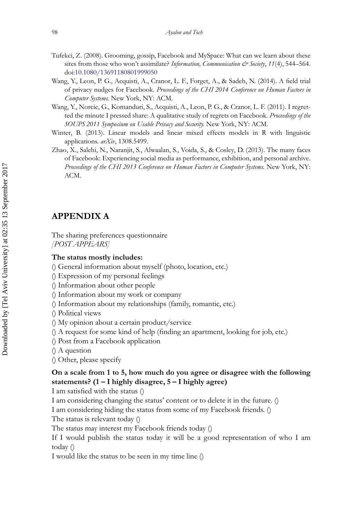- <span id="page-26-0"></span>Tufekci, Z. (2008). Grooming, gossip, Facebook and MySpace: What can we learn about these sites from those who won't assimilate? *Information, Communication*  $\mathcal{O}$  *Society*, 11(4), 544–564. doi[:10.1080/13691180801999050](http://dx.doi.org/10.1080/\gdef yes{no}\penalty \z@ \gdef \ {\penalty \z@ }\gdef no{no}\gdef yes{yes}\gdef \ \gdef \ {\ }\gdef no{no}\gdef yes{yes}{\penalty \z@ \gdef \ {\penalty \z@ }\gdef no{no}\gdef yes{yes}}13691180801999050)
- <span id="page-26-4"></span>Wang, Y., Leon, P. G., Acquisti, A., Cranor, L. F., Forget, A., & Sadeh, N. (2014). A field trial of privacy nudges for Facebook. *Proceedings of the CHI 2014 Conference on Human Factors in Computer Systems.* New York, NY: ACM.
- <span id="page-26-2"></span>Wang, Y., Norcie, G., Komanduri, S., Acquisti, A., Leon, P. G., & Cranor, L. F. (2011). I regretted the minute I pressed share: A qualitative study of regrets on Facebook. *Proceedings of the SOUPS 2011 Symposium on Usable Privacy and Security.* New York, NY: ACM.
- <span id="page-26-3"></span>Winter, B. (2013). Linear models and linear mixed effects models in R with linguistic applications. *arXiv*, 1308.5499.
- <span id="page-26-1"></span>Zhao, X., Salehi, N., Naranjit, S., Alwaalan, S., Voida, S., & Cosley, D. (2013). The many faces of Facebook: Experiencing social media as performance, exhibition, and personal archive. *Proceedings of the CHI 2013 Conference on Human Factors in Computer Systems.* New York, NY: ACM.

## **APPENDIX A**

The sharing preferences questionnaire *[POST APPEARS]*

#### **The status mostly includes:**

- () General information about myself (photo, location, etc.)
- () Expression of my personal feelings
- () Information about other people
- () Information about my work or company
- () Information about my relationships (family, romantic, etc.)
- () Political views
- () My opinion about a certain product/service
- () A request for some kind of help (finding an apartment, looking for job, etc.)
- () Post from a Facebook application
- () A question
- () Other, please specify

## **On a scale from 1 to 5, how much do you agree or disagree with the following statements? (1 – I highly disagree, 5 – I highly agree)**

I am satisfied with the status ()

I am considering changing the status' content or to delete it in the future. ()

I am considering hiding the status from some of my Facebook friends. ()

The status is relevant today ()

The status may interest my Facebook friends today ()

If I would publish the status today it will be a good representation of who I am today ()

I would like the status to be seen in my time line ()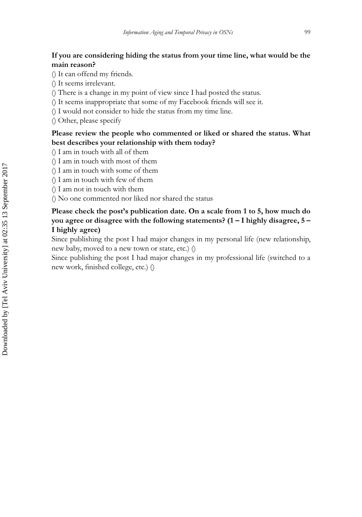## **If you are considering hiding the status from your time line, what would be the main reason?**

- () It can offend my friends.
- () It seems irrelevant.
- () There is a change in my point of view since I had posted the status.
- () It seems inappropriate that some of my Facebook friends will see it.
- () I would not consider to hide the status from my time line.
- () Other, please specify

## **Please review the people who commented or liked or shared the status. What best describes your relationship with them today?**

- () I am in touch with all of them
- () I am in touch with most of them
- () I am in touch with some of them
- () I am in touch with few of them
- () I am not in touch with them
- () No one commented nor liked nor shared the status

## **Please check the post's publication date. On a scale from 1 to 5, how much do you agree or disagree with the following statements? (1 – I highly disagree, 5 – I highly agree)**

Since publishing the post I had major changes in my personal life (new relationship, new baby, moved to a new town or state, etc.) ()

Since publishing the post I had major changes in my professional life (switched to a new work, finished college, etc.) ()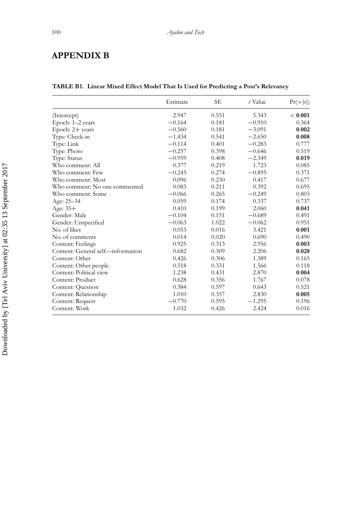## **APPENDIX B**

|                                   | Estimate | <b>SE</b> | t Value  | Pr(> t ) |
|-----------------------------------|----------|-----------|----------|----------|
| (Intercept)                       | 2.947    | 0.551     | 5.343    | < 0.001  |
| Epoch: 1-2 years                  | $-0.164$ | 0.181     | $-0.910$ | 0.364    |
| Epoch: $2+$ years                 | $-0.560$ | 0.181     | $-3.091$ | 0.002    |
| Type: Check-in                    | $-1.434$ | 0.541     | $-2.650$ | 0.008    |
| Type: Link                        | $-0.114$ | 0.401     | $-0.283$ | 0.777    |
| Type: Photo                       | $-0.257$ | 0.398     | $-0.646$ | 0.519    |
| Type: Status                      | $-0.959$ | 0.408     | $-2.349$ | 0.019    |
| Who comment: All                  | 0.377    | 0.219     | 1.723    | 0.085    |
| Who comment: Few                  | $-0.245$ | 0.274     | $-0.895$ | 0.371    |
| Who comment: Most                 | 0.096    | 0.230     | 0.417    | 0.677    |
| Who comment: No one commented     | 0.083    | 0.211     | 0.392    | 0.695    |
| Who comment: Some                 | $-0.066$ | 0.265     | $-0.249$ | 0.803    |
| Age: 25–34                        | 0.059    | 0.174     | 0.337    | 0.737    |
| Age: $35+$                        | 0.410    | 0.199     | 2.060    | 0.041    |
| Gender: Male                      | $-0.104$ | 0.151     | $-0.689$ | 0.491    |
| Gender: Unspecified               | $-0.063$ | 1.022     | $-0.062$ | 0.951    |
| No. of likes                      | 0.053    | 0.016     | 3.421    | 0.001    |
| No. of comments                   | 0.014    | 0.020     | 0.690    | 0.490    |
| Content: Feelings                 | 0.925    | 0.313     | 2.956    | 0.003    |
| Content: General self-information | 0.682    | 0.309     | 2.206    | 0.028    |
| Content: Other                    | 0.426    | 0.306     | 1.389    | 0.165    |
| Content: Other people             | 0.518    | 0.331     | 1.566    | 0.118    |
| Content: Political view           | 1.238    | 0.431     | 2.870    | 0.004    |
| Content: Product                  | 0.628    | 0.356     | 1.767    | 0.078    |
| Content: Question                 | 0.384    | 0.597     | 0.643    | 0.521    |
| Content: Relationship             | 1.010    | 0.357     | 2.830    | 0.005    |
| Content: Request                  | $-0.770$ | 0.595     | $-1.295$ | 0.196    |
| Content: Work                     | 1.032    | 0.426     | 2.424    | 0.016    |

## **TABLE B1. Linear Mixed Effect Model That Is Used for Predicting a Post's Relevancy**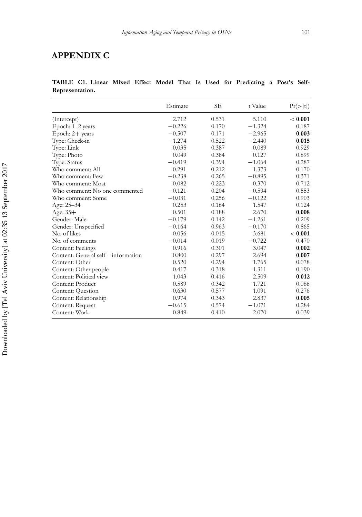## **APPENDIX C**

## **TABLE C1. Linear Mixed Effect Model That Is Used for Predicting a Post's Self-Representation.**

|                                   | Estimate | SE.   | t Value  | Pr(> t ) |
|-----------------------------------|----------|-------|----------|----------|
| (Intercept)                       | 2.712    | 0.531 | 5.110    | < 0.001  |
| Epoch: 1-2 years                  | $-0.226$ | 0.170 | $-1.324$ | 0.187    |
| Epoch: 2+ years                   | $-0.507$ | 0.171 | $-2.965$ | 0.003    |
| Type: Check-in                    | $-1.274$ | 0.522 | $-2.440$ | 0.015    |
| Type: Link                        | 0.035    | 0.387 | 0.089    | 0.929    |
| Type: Photo                       | 0.049    | 0.384 | 0.127    | 0.899    |
| Type: Status                      | $-0.419$ | 0.394 | $-1.064$ | 0.287    |
| Who comment: All                  | 0.291    | 0.212 | 1.373    | 0.170    |
| Who comment: Few                  | $-0.238$ | 0.265 | $-0.895$ | 0.371    |
| Who comment: Most                 | 0.082    | 0.223 | 0.370    | 0.712    |
| Who comment: No one commented     | $-0.121$ | 0.204 | $-0.594$ | 0.553    |
| Who comment: Some                 | $-0.031$ | 0.256 | $-0.122$ | 0.903    |
| Age: $25 - 34$                    | 0.253    | 0.164 | 1.547    | 0.124    |
| Age: $35+$                        | 0.501    | 0.188 | 2.670    | 0.008    |
| Gender: Male                      | $-0.179$ | 0.142 | $-1.261$ | 0.209    |
| Gender: Unspecified               | $-0.164$ | 0.963 | $-0.170$ | 0.865    |
| No. of likes                      | 0.056    | 0.015 | 3.681    | < 0.001  |
| No. of comments                   | $-0.014$ | 0.019 | $-0.722$ | 0.470    |
| Content: Feelings                 | 0.916    | 0.301 | 3.047    | 0.002    |
| Content: General self-information | 0.800    | 0.297 | 2.694    | 0.007    |
| Content: Other                    | 0.520    | 0.294 | 1.765    | 0.078    |
| Content: Other people             | 0.417    | 0.318 | 1.311    | 0.190    |
| Content: Political view           | 1.043    | 0.416 | 2.509    | 0.012    |
| Content: Product                  | 0.589    | 0.342 | 1.721    | 0.086    |
| Content: Question                 | 0.630    | 0.577 | 1.091    | 0.276    |
| Content: Relationship             | 0.974    | 0.343 | 2.837    | 0.005    |
| Content: Request                  | $-0.615$ | 0.574 | $-1.071$ | 0.284    |
| Content: Work                     | 0.849    | 0.410 | 2.070    | 0.039    |